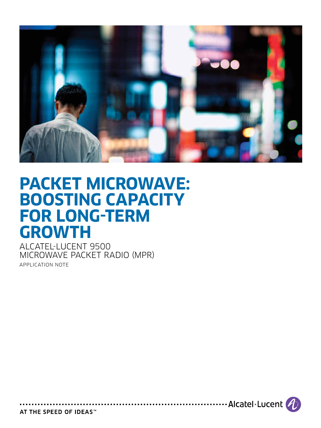

# **PACKET MICROWAVE: BOOSTING CAPACITY FOR LONG-TERM GROWTH**

ALCATEL-LUCENT 9500 MICROWAVE PACKET RADIO (MPR) Application Note

.....Alcatel·Lucent

AT THE SPEED OF IDEAS™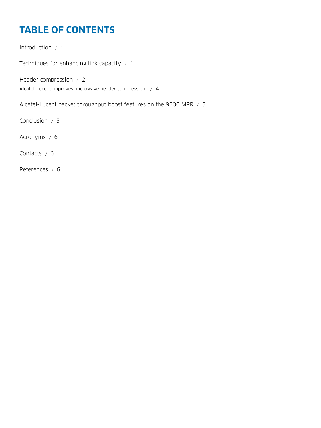# **Table of contents**

[Introduction / 1](#page-2-0)

Techniques for enhancing link capacity  $/1$ 

[Header compression / 2](#page-3-0) [Alcatel-Lucent improves microwave header compression / 4](#page-5-0)

[Alcatel-Lucent packet throughput boost features on the 9500 MPR / 5](#page-6-0)

[Conclusion / 5](#page-6-0)

[Acronyms / 6](#page-7-0)

[Contacts / 6](#page-7-0)

[References / 6](#page-7-0)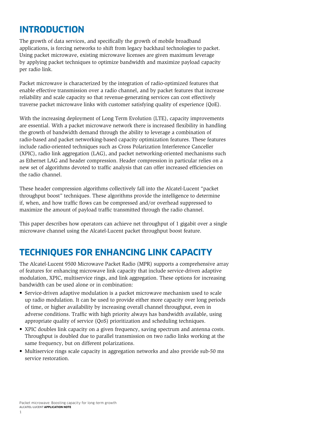### <span id="page-2-0"></span>**Introduction**

The growth of data services, and specifically the growth of mobile broadband applications, is forcing networks to shift from legacy backhaul technologies to packet. Using packet microwave, existing microwave licenses are given maximum leverage by applying packet techniques to optimize bandwidth and maximize payload capacity per radio link.

Packet microwave is characterized by the integration of radio-optimized features that enable effective transmission over a radio channel, and by packet features that increase reliability and scale capacity so that revenue-generating services can cost effectively traverse packet microwave links with customer satisfying quality of experience (QoE).

With the increasing deployment of Long Term Evolution (LTE), capacity improvements are essential. With a packet microwave network there is increased flexibility in handling the growth of bandwidth demand through the ability to leverage a combination of radio-based and packet networking-based capacity optimization features. These features include radio-oriented techniques such as Cross Polarization Interference Canceller (XPIC), radio link aggregation (LAG), and packet networking-oriented mechanisms such as Ethernet LAG and header compression. Header compression in particular relies on a new set of algorithms devoted to traffic analysis that can offer increased efficiencies on the radio channel.

These header compression algorithms collectively fall into the Alcatel-Lucent "packet throughput boost" techniques. These algorithms provide the intelligence to determine if, when, and how traffic flows can be compressed and/or overhead suppressed to maximize the amount of payload traffic transmitted through the radio channel.

This paper describes how operators can achieve net throughput of 1 gigabit over a single microwave channel using the Alcatel-Lucent packet throughput boost feature.

# **Techniques for enhancing link capacity**

The Alcatel-Lucent 9500 Microwave Packet Radio (MPR) supports a comprehensive array of features for enhancing microwave link capacity that include service-driven adaptive modulation, XPIC, multiservice rings, and link aggregation. These options for increasing bandwidth can be used alone or in combination:

- Service-driven adaptive modulation is a packet microwave mechanism used to scale up radio modulation. It can be used to provide either more capacity over long periods of time, or higher availability by increasing overall channel throughput, even in adverse conditions. Traffic with high priority always has bandwidth available, using appropriate quality of service (QoS) prioritization and scheduling techniques.
- XPIC doubles link capacity on a given frequency, saving spectrum and antenna costs. Throughput is doubled due to parallel transmission on two radio links working at the same frequency, but on different polarizations.
- Multiservice rings scale capacity in aggregation networks and also provide sub-50 ms service restoration.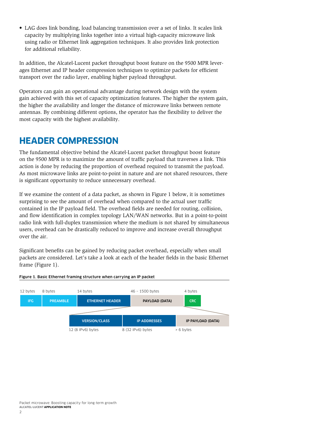<span id="page-3-0"></span>• LAG does link bonding, load balancing transmission over a set of links. It scales link capacity by multiplying links together into a virtual high-capacity microwave link using radio or Ethernet link aggregation techniques. It also provides link protection for additional reliability.

In addition, the Alcatel-Lucent packet throughput boost feature on the 9500 MPR leverages Ethernet and IP header compression techniques to optimize packets for efficient transport over the radio layer, enabling higher payload throughput.

Operators can gain an operational advantage during network design with the system gain achieved with this set of capacity optimization features. The higher the system gain, the higher the availability and longer the distance of microwave links between remote antennas. By combining different options, the operator has the flexibility to deliver the most capacity with the highest availability.

### **Header compression**

The fundamental objective behind the Alcatel-Lucent packet throughput boost feature on the 9500 MPR is to maximize the amount of traffic payload that traverses a link. This action is done by reducing the proportion of overhead required to transmit the payload. As most microwave links are point-to-point in nature and are not shared resources, there is significant opportunity to reduce unnecessary overhead.

If we examine the content of a data packet, as shown in Figure 1 below, it is sometimes surprising to see the amount of overhead when compared to the actual user traffic contained in the IP payload field. The overhead fields are needed for routing, collision, and flow identification in complex topology LAN/WAN networks. But in a point-to-point radio link with full-duplex transmission where the medium is not shared by simultaneous users, overhead can be drastically reduced to improve and increase overall throughput over the air.

Significant benefits can be gained by reducing packet overhead, especially when small packets are considered. Let's take a look at each of the header fields in the basic Ethernet frame (Figure 1).



#### Figure 1. Basic Ethernet framing structure when carrying an IP packet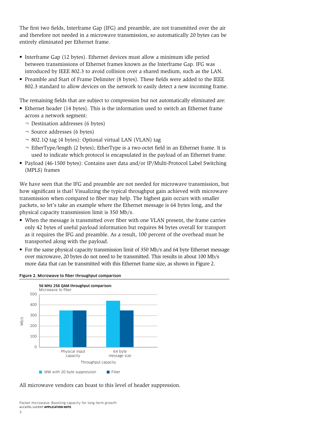The first two fields, Interframe Gap (IFG) and preamble, are not transmitted over the air and therefore not needed in a microwave transmission, so automatically 20 bytes can be entirely eliminated per Ethernet frame.

- Interframe Gap (12 bytes). Ethernet devices must allow a minimum idle period between transmissions of Ethernet frames known as the Interframe Gap. IFG was introduced by IEEE 802.3 to avoid collision over a shared medium, such as the LAN.
- Preamble and Start of Frame Delimiter (8 bytes). These fields were added to the IEEE 802.3 standard to allow devices on the network to easily detect a new incoming frame.

The remaining fields that are subject to compression but not automatically eliminated are:

- Ethernet header (14 bytes). This is the information used to switch an Ethernet frame across a network segment:
	- ¬ Destination addresses (6 bytes)
	- ¬ Source addresses (6 bytes)
	- ¬ 802.1Q tag (4 bytes): Optional virtual LAN (VLAN) tag
	- ¬ EtherType/length (2 bytes); EtherType is a two-octet field in an Ethernet frame. It is used to indicate which protocol is encapsulated in the payload of an Ethernet frame.
- Payload (46-1500 bytes): Contains user data and/or IP/Multi-Protocol Label Switching (MPLS) frames

We have seen that the IFG and preamble are not needed for microwave transmission, but how significant is that? Visualizing the typical throughput gain achieved with microwave transmission when compared to fiber may help. The highest gain occurs with smaller packets, so let's take an example where the Ethernet message is 64 bytes long, and the physical capacity transmission limit is 350 Mb/s.

- When the message is transmitted over fiber with one VLAN present, the frame carries only 42 bytes of useful payload information but requires 84 bytes overall for transport as it requires the IFG and preamble. As a result, 100 percent of the overhead must be transported along with the payload.
- For the same physical capacity transmission limit of 350 Mb/s and 64 byte Ethernet message over microwave, 20 bytes do not need to be transmitted. This results in about 100 Mb/s more data that can be transmitted with this Ethernet frame size, as shown in Figure 2.



#### Figure 2. Microwave to fiber throughput comparison

All microwave vendors can boast to this level of header suppression.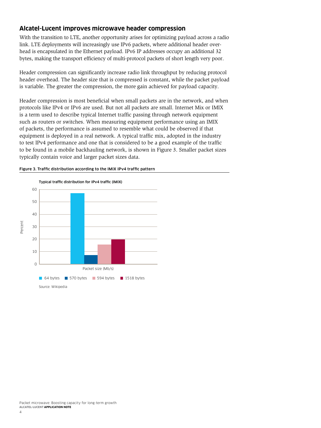#### <span id="page-5-0"></span>**Alcatel-Lucent improves microwave header compression**

With the transition to LTE, another opportunity arises for optimizing payload across a radio link. LTE deployments will increasingly use IPv6 packets, where additional header overhead is encapsulated in the Ethernet payload. IPv6 IP addresses occupy an additional 32 bytes, making the transport efficiency of multi-protocol packets of short length very poor.

Header compression can significantly increase radio link throughput by reducing protocol header overhead. The header size that is compressed is constant, while the packet payload is variable. The greater the compression, the more gain achieved for payload capacity.

Header compression is most beneficial when small packets are in the network, and when protocols like IPv4 or IPv6 are used. But not all packets are small. Internet Mix or IMIX is a term used to describe typical Internet traffic passing through network equipment such as routers or switches. When measuring equipment performance using an IMIX of packets, the performance is assumed to resemble what could be observed if that equipment is deployed in a real network. A typical traffic mix, adopted in the industry to test IPv4 performance and one that is considered to be a good example of the traffic to be found in a mobile backhauling network, is shown in Figure 3. Smaller packet sizes typically contain voice and larger packet sizes data.



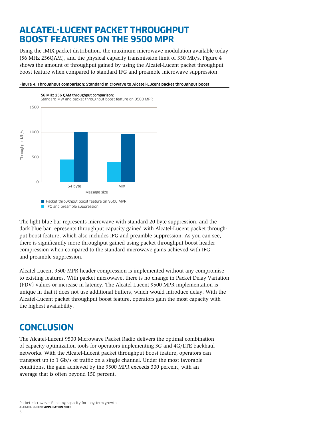### <span id="page-6-0"></span>**Alcatel-Lucent packet throughput boost features on the 9500 MPR**

Using the IMIX packet distribution, the maximum microwave modulation available today (56 MHz 256QAM), and the physical capacity transmission limit of 350 Mb/s, Figure 4 shows the amount of throughput gained by using the Alcatel-Lucent packet throughput boost feature when compared to standard IFG and preamble microwave suppression.



Figure 4. Throughput comparison: Standard microwave to Alcatel-Lucent packet throughput boost

The light blue bar represents microwave with standard 20 byte suppression, and the dark blue bar represents throughput capacity gained with Alcatel-Lucent packet throughput boost feature, which also includes IFG and preamble suppression. As you can see, there is significantly more throughput gained using packet throughput boost header compression when compared to the standard microwave gains achieved with IFG and preamble suppression.

Alcatel-Lucent 9500 MPR header compression is implemented without any compromise to existing features. With packet microwave, there is no change in Packet Delay Variation (PDV) values or increase in latency. The Alcatel-Lucent 9500 MPR implementation is unique in that it does not use additional buffers, which would introduce delay. With the Alcatel-Lucent packet throughput boost feature, operators gain the most capacity with the highest availability.

# **Conclusion**

The Alcatel-Lucent 9500 Microwave Packet Radio delivers the optimal combination of capacity optimization tools for operators implementing 3G and 4G/LTE backhaul networks. With the Alcatel-Lucent packet throughput boost feature, operators can transport up to 1 Gb/s of traffic on a single channel. Under the most favorable conditions, the gain achieved by the 9500 MPR exceeds 300 percent, with an average that is often beyond 150 percent.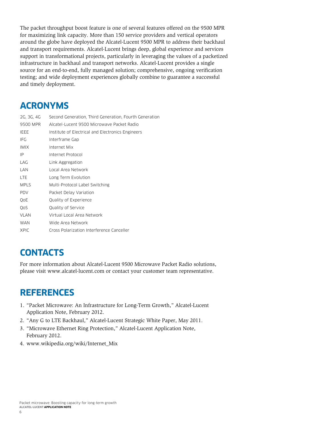<span id="page-7-0"></span>The packet throughput boost feature is one of several features offered on the 9500 MPR for maximizing link capacity. More than 150 service providers and vertical operators around the globe have deployed the Alcatel-Lucent 9500 MPR to address their backhaul and transport requirements. Alcatel-Lucent brings deep, global experience and services support in transformational projects, particularly in leveraging the values of a packetized infrastructure in backhaul and transport networks. Alcatel-Lucent provides a single source for an end-to-end, fully managed solution; comprehensive, ongoing verification testing; and wide deployment experiences globally combine to guarantee a successful and timely deployment.

# **Acronyms**

| 2G, 3G, 4G  | Second Generation, Third Generation, Fourth Generation |
|-------------|--------------------------------------------------------|
| 9500 MPR    | Alcatel-Lucent 9500 Microwave Packet Radio             |
| IEEE        | Institute of Electrical and Electronics Engineers      |
| IFG         | Interframe Gap                                         |
| <b>IMIX</b> | Internet Mix                                           |
| IP          | Internet Protocol                                      |
| LAG         | Link Aggregation                                       |
| LAN         | Local Area Network                                     |
| <b>LTE</b>  | Long Term Evolution                                    |
| <b>MPLS</b> | Multi-Protocol Label Switching                         |
| <b>PDV</b>  | Packet Delay Variation                                 |
| QOE         | Quality of Experience                                  |
| OoS         | Quality of Service                                     |
| <b>VLAN</b> | Virtual Local Area Network                             |
| <b>WAN</b>  | Wide Area Network                                      |
| <b>XPIC</b> | Cross Polarization Interference Canceller              |

# **Contacts**

For more information about Alcatel-Lucent 9500 Microwave Packet Radio solutions, please visit www.alcatel-lucent.com or contact your customer team representative.

### **References**

- 1. "Packet Microwave: An Infrastructure for Long-Term Growth," Alcatel-Lucent Application Note, February 2012.
- 2. "Any G to LTE Backhaul," Alcatel-Lucent Strategic White Paper, May 2011.
- 3. "Microwave Ethernet Ring Protection," Alcatel-Lucent Application Note, February 2012.
- 4. www.wikipedia.org/wiki/Internet\_Mix